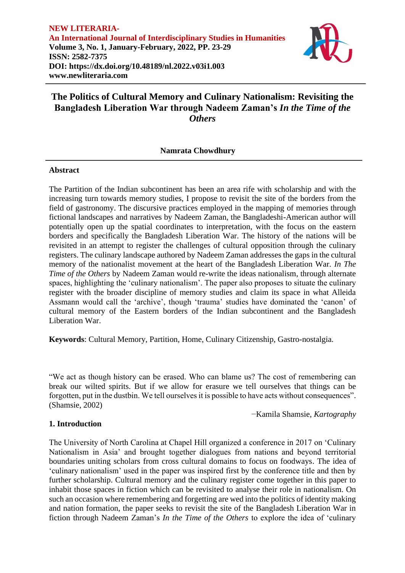

# **The Politics of Cultural Memory and Culinary Nationalism: Revisiting the Bangladesh Liberation War through Nadeem Zaman's** *In the Time of the Others*

# **Namrata Chowdhury**

### **Abstract**

The Partition of the Indian subcontinent has been an area rife with scholarship and with the increasing turn towards memory studies, I propose to revisit the site of the borders from the field of gastronomy. The discursive practices employed in the mapping of memories through fictional landscapes and narratives by Nadeem Zaman, the Bangladeshi-American author will potentially open up the spatial coordinates to interpretation, with the focus on the eastern borders and specifically the Bangladesh Liberation War. The history of the nations will be revisited in an attempt to register the challenges of cultural opposition through the culinary registers. The culinary landscape authored by Nadeem Zaman addresses the gaps in the cultural memory of the nationalist movement at the heart of the Bangladesh Liberation War. *In The Time of the Others* by Nadeem Zaman would re-write the ideas nationalism, through alternate spaces, highlighting the 'culinary nationalism'. The paper also proposes to situate the culinary register with the broader discipline of memory studies and claim its space in what Alleida Assmann would call the 'archive', though 'trauma' studies have dominated the 'canon' of cultural memory of the Eastern borders of the Indian subcontinent and the Bangladesh Liberation War.

**Keywords**: Cultural Memory, Partition, Home, Culinary Citizenship, Gastro-nostalgia.

"We act as though history can be erased. Who can blame us? The cost of remembering can break our wilted spirits. But if we allow for erasure we tell ourselves that things can be forgotten, put in the dustbin. We tell ourselves it is possible to have acts without consequences". (Shamsie, 2002)

−Kamila Shamsie, *Kartography*

# **1. Introduction**

The University of North Carolina at Chapel Hill organized a conference in 2017 on 'Culinary Nationalism in Asia' and brought together dialogues from nations and beyond territorial boundaries uniting scholars from cross cultural domains to focus on foodways. The idea of 'culinary nationalism' used in the paper was inspired first by the conference title and then by further scholarship. Cultural memory and the culinary register come together in this paper to inhabit those spaces in fiction which can be revisited to analyse their role in nationalism. On such an occasion where remembering and forgetting are wed into the politics of identity making and nation formation, the paper seeks to revisit the site of the Bangladesh Liberation War in fiction through Nadeem Zaman's *In the Time of the Others* to explore the idea of 'culinary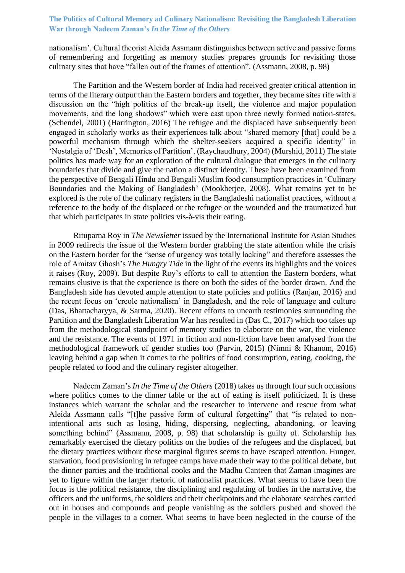# **The Politics of Cultural Memory ad Culinary Nationalism: Revisiting the Bangladesh Liberation War through Nadeem Zaman's** *In the Time of the Others*

nationalism'. Cultural theorist Aleida Assmann distinguishes between active and passive forms of remembering and forgetting as memory studies prepares grounds for revisiting those culinary sites that have "fallen out of the frames of attention". (Assmann, 2008, p. 98)

The Partition and the Western border of India had received greater critical attention in terms of the literary output than the Eastern borders and together, they became sites rife with a discussion on the "high politics of the break-up itself, the violence and major population movements, and the long shadows" which were cast upon three newly formed nation-states. (Schendel, 2001) (Harrington, 2016) The refugee and the displaced have subsequently been engaged in scholarly works as their experiences talk about "shared memory [that] could be a powerful mechanism through which the shelter-seekers acquired a specific identity" in 'Nostalgia of 'Desh', Memories of Partition'. (Raychaudhury, 2004) (Murshid, 2011) The state politics has made way for an exploration of the cultural dialogue that emerges in the culinary boundaries that divide and give the nation a distinct identity. These have been examined from the perspective of Bengali Hindu and Bengali Muslim food consumption practices in 'Culinary Boundaries and the Making of Bangladesh' (Mookherjee, 2008). What remains yet to be explored is the role of the culinary registers in the Bangladeshi nationalist practices, without a reference to the body of the displaced or the refugee or the wounded and the traumatized but that which participates in state politics vis-à-vis their eating.

Rituparna Roy in *The Newsletter* issued by the International Institute for Asian Studies in 2009 redirects the issue of the Western border grabbing the state attention while the crisis on the Eastern border for the "sense of urgency was totally lacking" and therefore assesses the role of Amitav Ghosh's *The Hungry Tide* in the light of the events its highlights and the voices it raises (Roy, 2009). But despite Roy's efforts to call to attention the Eastern borders, what remains elusive is that the experience is there on both the sides of the border drawn. And the Bangladesh side has devoted ample attention to state policies and politics (Ranjan, 2016) and the recent focus on 'creole nationalism' in Bangladesh, and the role of language and culture (Das, Bhattacharyya, & Sarma, 2020). Recent efforts to unearth testimonies surrounding the Partition and the Bangladesh Liberation War has resulted in (Das C., 2017) which too takes up from the methodological standpoint of memory studies to elaborate on the war, the violence and the resistance. The events of 1971 in fiction and non-fiction have been analysed from the methodological framework of gender studies too (Parvin, 2015) (Nimni & Khanom, 2016) leaving behind a gap when it comes to the politics of food consumption, eating, cooking, the people related to food and the culinary register altogether.

Nadeem Zaman's *In the Time of the Others* (2018) takes us through four such occasions where politics comes to the dinner table or the act of eating is itself politicized. It is these instances which warrant the scholar and the researcher to intervene and rescue from what Aleida Assmann calls "[t]he passive form of cultural forgetting" that "is related to nonintentional acts such as losing, hiding, dispersing, neglecting, abandoning, or leaving something behind" (Assmann, 2008, p. 98) that scholarship is guilty of. Scholarship has remarkably exercised the dietary politics on the bodies of the refugees and the displaced, but the dietary practices without these marginal figures seems to have escaped attention. Hunger, starvation, food provisioning in refugee camps have made their way to the political debate, but the dinner parties and the traditional cooks and the Madhu Canteen that Zaman imagines are yet to figure within the larger rhetoric of nationalist practices. What seems to have been the focus is the political resistance, the disciplining and regulating of bodies in the narrative, the officers and the uniforms, the soldiers and their checkpoints and the elaborate searches carried out in houses and compounds and people vanishing as the soldiers pushed and shoved the people in the villages to a corner. What seems to have been neglected in the course of the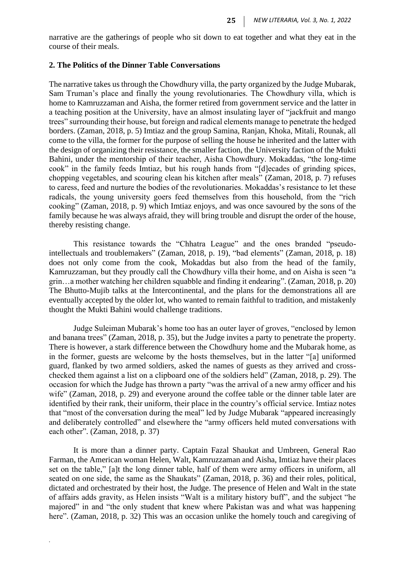narrative are the gatherings of people who sit down to eat together and what they eat in the course of their meals.

#### **2. The Politics of the Dinner Table Conversations**

The narrative takes us through the Chowdhury villa, the party organized by the Judge Mubarak, Sam Truman's place and finally the young revolutionaries. The Chowdhury villa, which is home to Kamruzzaman and Aisha, the former retired from government service and the latter in a teaching position at the University, have an almost insulating layer of "jackfruit and mango trees" surrounding their house, but foreign and radical elements manage to penetrate the hedged borders. (Zaman, 2018, p. 5) Imtiaz and the group Samina, Ranjan, Khoka, Mitali, Rounak, all come to the villa, the former for the purpose of selling the house he inherited and the latter with the design of organizing their resistance, the smaller faction, the University faction of the Mukti Bahini, under the mentorship of their teacher, Aisha Chowdhury. Mokaddas, "the long-time cook" in the family feeds Imtiaz, but his rough hands from "[d]ecades of grinding spices, chopping vegetables, and scouring clean his kitchen after meals" (Zaman, 2018, p. 7) refuses to caress, feed and nurture the bodies of the revolutionaries. Mokaddas's resistance to let these radicals, the young university goers feed themselves from this household, from the "rich cooking" (Zaman, 2018, p. 9) which Imtiaz enjoys, and was once savoured by the sons of the family because he was always afraid, they will bring trouble and disrupt the order of the house, thereby resisting change.

This resistance towards the "Chhatra League" and the ones branded "pseudointellectuals and troublemakers" (Zaman, 2018, p. 19), "bad elements" (Zaman, 2018, p. 18) does not only come from the cook, Mokaddas but also from the head of the family, Kamruzzaman, but they proudly call the Chowdhury villa their home, and on Aisha is seen "a grin…a mother watching her children squabble and finding it endearing". (Zaman, 2018, p. 20) The Bhutto-Mujib talks at the Intercontinental, and the plans for the demonstrations all are eventually accepted by the older lot, who wanted to remain faithful to tradition, and mistakenly thought the Mukti Bahini would challenge traditions.

Judge Suleiman Mubarak's home too has an outer layer of groves, "enclosed by lemon and banana trees" (Zaman, 2018, p. 35), but the Judge invites a party to penetrate the property. There is however, a stark difference between the Chowdhury home and the Mubarak home, as in the former, guests are welcome by the hosts themselves, but in the latter "[a] uniformed guard, flanked by two armed soldiers, asked the names of guests as they arrived and crosschecked them against a list on a clipboard one of the soldiers held" (Zaman, 2018, p. 29). The occasion for which the Judge has thrown a party "was the arrival of a new army officer and his wife" (Zaman, 2018, p. 29) and everyone around the coffee table or the dinner table later are identified by their rank, their uniform, their place in the country's official service. Imtiaz notes that "most of the conversation during the meal" led by Judge Mubarak "appeared increasingly and deliberately controlled" and elsewhere the "army officers held muted conversations with each other". (Zaman, 2018, p. 37)

It is more than a dinner party. Captain Fazal Shaukat and Umbreen, General Rao Farman, the American woman Helen, Walt, Kamruzzaman and Aisha, Imtiaz have their places set on the table," [a]t the long dinner table, half of them were army officers in uniform, all seated on one side, the same as the Shaukats" (Zaman, 2018, p. 36) and their roles, political, dictated and orchestrated by their host, the Judge. The presence of Helen and Walt in the state of affairs adds gravity, as Helen insists "Walt is a military history buff", and the subject "he majored" in and "the only student that knew where Pakistan was and what was happening here". (Zaman, 2018, p. 32) This was an occasion unlike the homely touch and caregiving of

*.*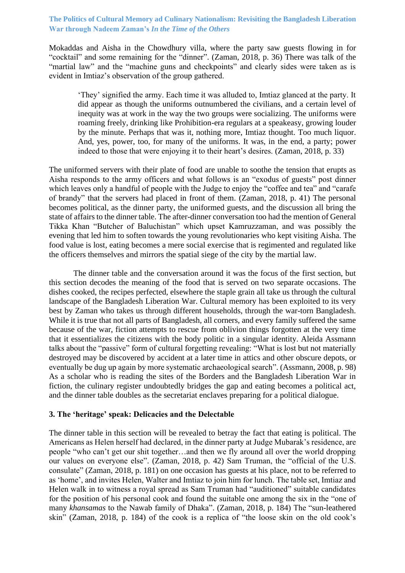# **The Politics of Cultural Memory ad Culinary Nationalism: Revisiting the Bangladesh Liberation War through Nadeem Zaman's** *In the Time of the Others*

Mokaddas and Aisha in the Chowdhury villa, where the party saw guests flowing in for "cocktail" and some remaining for the "dinner". (Zaman, 2018, p. 36) There was talk of the "martial law" and the "machine guns and checkpoints" and clearly sides were taken as is evident in Imtiaz's observation of the group gathered.

'They' signified the army. Each time it was alluded to, Imtiaz glanced at the party. It did appear as though the uniforms outnumbered the civilians, and a certain level of inequity was at work in the way the two groups were socializing. The uniforms were roaming freely, drinking like Prohibition-era regulars at a speakeasy, growing louder by the minute. Perhaps that was it, nothing more, Imtiaz thought. Too much liquor. And, yes, power, too, for many of the uniforms. It was, in the end, a party; power indeed to those that were enjoying it to their heart's desires. (Zaman, 2018, p. 33)

The uniformed servers with their plate of food are unable to soothe the tension that erupts as Aisha responds to the army officers and what follows is an "exodus of guests" post dinner which leaves only a handful of people with the Judge to enjoy the "coffee and tea" and "carafe of brandy" that the servers had placed in front of them. (Zaman, 2018, p. 41) The personal becomes political, as the dinner party, the uniformed guests, and the discussion all bring the state of affairs to the dinner table. The after-dinner conversation too had the mention of General Tikka Khan "Butcher of Baluchistan" which upset Kamruzzaman, and was possibly the evening that led him to soften towards the young revolutionaries who kept visiting Aisha. The food value is lost, eating becomes a mere social exercise that is regimented and regulated like the officers themselves and mirrors the spatial siege of the city by the martial law.

The dinner table and the conversation around it was the focus of the first section, but this section decodes the meaning of the food that is served on two separate occasions. The dishes cooked, the recipes perfected, elsewhere the staple grain all take us through the cultural landscape of the Bangladesh Liberation War. Cultural memory has been exploited to its very best by Zaman who takes us through different households, through the war-torn Bangladesh. While it is true that not all parts of Bangladesh, all corners, and every family suffered the same because of the war, fiction attempts to rescue from oblivion things forgotten at the very time that it essentializes the citizens with the body politic in a singular identity. Aleida Assmann talks about the "passive" form of cultural forgetting revealing: "What is lost but not materially destroyed may be discovered by accident at a later time in attics and other obscure depots, or eventually be dug up again by more systematic archaeological search". (Assmann, 2008, p. 98) As a scholar who is reading the sites of the Borders and the Bangladesh Liberation War in fiction, the culinary register undoubtedly bridges the gap and eating becomes a political act, and the dinner table doubles as the secretariat enclaves preparing for a political dialogue.

### **3. The 'heritage' speak: Delicacies and the Delectable**

The dinner table in this section will be revealed to betray the fact that eating is political. The Americans as Helen herself had declared, in the dinner party at Judge Mubarak's residence, are people "who can't get our shit together…and then we fly around all over the world dropping our values on everyone else". (Zaman, 2018, p. 42) Sam Truman, the "official of the U.S. consulate" (Zaman, 2018, p. 181) on one occasion has guests at his place, not to be referred to as 'home', and invites Helen, Walter and Imtiaz to join him for lunch. The table set, Imtiaz and Helen walk in to witness a royal spread as Sam Truman had "auditioned" suitable candidates for the position of his personal cook and found the suitable one among the six in the "one of many *khansamas* to the Nawab family of Dhaka". (Zaman, 2018, p. 184) The "sun-leathered skin" (Zaman, 2018, p. 184) of the cook is a replica of "the loose skin on the old cook's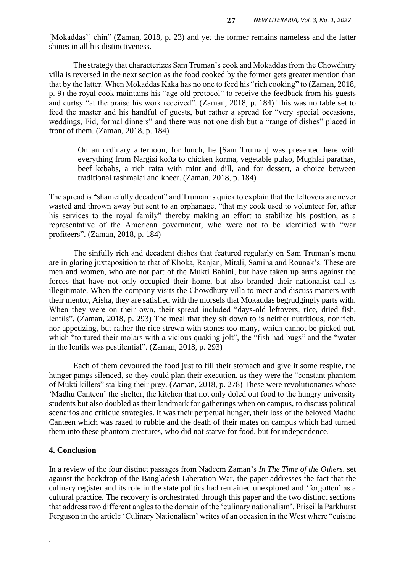[Mokaddas'] chin" (Zaman, 2018, p. 23) and yet the former remains nameless and the latter shines in all his distinctiveness.

The strategy that characterizes Sam Truman's cook and Mokaddas from the Chowdhury villa is reversed in the next section as the food cooked by the former gets greater mention than that by the latter. When Mokaddas Kaka has no one to feed his "rich cooking" to (Zaman, 2018, p. 9) the royal cook maintains his "age old protocol" to receive the feedback from his guests and curtsy "at the praise his work received". (Zaman, 2018, p. 184) This was no table set to feed the master and his handful of guests, but rather a spread for "very special occasions, weddings, Eid, formal dinners" and there was not one dish but a "range of dishes" placed in front of them. (Zaman, 2018, p. 184)

On an ordinary afternoon, for lunch, he [Sam Truman] was presented here with everything from Nargisi kofta to chicken korma, vegetable pulao, Mughlai parathas, beef kebabs, a rich raita with mint and dill, and for dessert, a choice between traditional rashmalai and kheer. (Zaman, 2018, p. 184)

The spread is "shamefully decadent" and Truman is quick to explain that the leftovers are never wasted and thrown away but sent to an orphanage, "that my cook used to volunteer for, after his services to the royal family" thereby making an effort to stabilize his position, as a representative of the American government, who were not to be identified with "war profiteers". (Zaman, 2018, p. 184)

The sinfully rich and decadent dishes that featured regularly on Sam Truman's menu are in glaring juxtaposition to that of Khoka, Ranjan, Mitali, Samina and Rounak's. These are men and women, who are not part of the Mukti Bahini, but have taken up arms against the forces that have not only occupied their home, but also branded their nationalist call as illegitimate. When the company visits the Chowdhury villa to meet and discuss matters with their mentor, Aisha, they are satisfied with the morsels that Mokaddas begrudgingly parts with. When they were on their own, their spread included "days-old leftovers, rice, dried fish, lentils". (Zaman, 2018, p. 293) The meal that they sit down to is neither nutritious, nor rich, nor appetizing, but rather the rice strewn with stones too many, which cannot be picked out, which "tortured their molars with a vicious quaking jolt", the "fish had bugs" and the "water in the lentils was pestilential". (Zaman, 2018, p. 293)

Each of them devoured the food just to fill their stomach and give it some respite, the hunger pangs silenced, so they could plan their execution, as they were the "constant phantom of Mukti killers" stalking their prey. (Zaman, 2018, p. 278) These were revolutionaries whose 'Madhu Canteen' the shelter, the kitchen that not only doled out food to the hungry university students but also doubled as their landmark for gatherings when on campus, to discuss political scenarios and critique strategies. It was their perpetual hunger, their loss of the beloved Madhu Canteen which was razed to rubble and the death of their mates on campus which had turned them into these phantom creatures, who did not starve for food, but for independence.

#### **4. Conclusion**

*.*

In a review of the four distinct passages from Nadeem Zaman's *In The Time of the Others*, set against the backdrop of the Bangladesh Liberation War, the paper addresses the fact that the culinary register and its role in the state politics had remained unexplored and 'forgotten' as a cultural practice. The recovery is orchestrated through this paper and the two distinct sections that address two different angles to the domain of the 'culinary nationalism'. Priscilla Parkhurst Ferguson in the article 'Culinary Nationalism' writes of an occasion in the West where "cuisine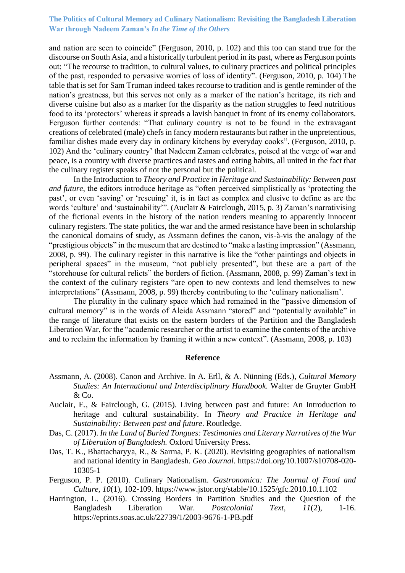### **The Politics of Cultural Memory ad Culinary Nationalism: Revisiting the Bangladesh Liberation War through Nadeem Zaman's** *In the Time of the Others*

and nation are seen to coincide" (Ferguson, 2010, p. 102) and this too can stand true for the discourse on South Asia, and a historically turbulent period in its past, where as Ferguson points out: "The recourse to tradition, to cultural values, to culinary practices and political principles of the past, responded to pervasive worries of loss of identity". (Ferguson, 2010, p. 104) The table that is set for Sam Truman indeed takes recourse to tradition and is gentle reminder of the nation's greatness, but this serves not only as a marker of the nation's heritage, its rich and diverse cuisine but also as a marker for the disparity as the nation struggles to feed nutritious food to its 'protectors' whereas it spreads a lavish banquet in front of its enemy collaborators. Ferguson further contends: "That culinary country is not to be found in the extravagant creations of celebrated (male) chefs in fancy modern restaurants but rather in the unpretentious, familiar dishes made every day in ordinary kitchens by everyday cooks". (Ferguson, 2010, p. 102) And the 'culinary country' that Nadeem Zaman celebrates, poised at the verge of war and peace, is a country with diverse practices and tastes and eating habits, all united in the fact that the culinary register speaks of not the personal but the political.

In the Introduction to *Theory and Practice in Heritage and Sustainability: Between past and future*, the editors introduce heritage as "often perceived simplistically as 'protecting the past', or even 'saving' or 'rescuing' it, is in fact as complex and elusive to define as are the words 'culture' and 'sustainability'". (Auclair & Fairclough, 2015, p. 3) Zaman's narrativising of the fictional events in the history of the nation renders meaning to apparently innocent culinary registers. The state politics, the war and the armed resistance have been in scholarship the canonical domains of study, as Assmann defines the canon, vis-à-vis the analogy of the "prestigious objects" in the museum that are destined to "make a lasting impression" (Assmann, 2008, p. 99). The culinary register in this narrative is like the "other paintings and objects in peripheral spaces" in the museum, "not publicly presented", but these are a part of the "storehouse for cultural relicts" the borders of fiction. (Assmann, 2008, p. 99) Zaman's text in the context of the culinary registers "are open to new contexts and lend themselves to new interpretations" (Assmann, 2008, p. 99) thereby contributing to the 'culinary nationalism'.

The plurality in the culinary space which had remained in the "passive dimension of cultural memory" is in the words of Aleida Assmann "stored" and "potentially available" in the range of literature that exists on the eastern borders of the Partition and the Bangladesh Liberation War, for the "academic researcher or the artist to examine the contents of the archive and to reclaim the information by framing it within a new context". (Assmann, 2008, p. 103)

#### **Reference**

- Assmann, A. (2008). Canon and Archive. In A. Erll, & A. Nünning (Eds.), *Cultural Memory Studies: An International and Interdisciplinary Handbook.* Walter de Gruyter GmbH & Co.
- Auclair, E., & Fairclough, G. (2015). Living between past and future: An Introduction to heritage and cultural sustainability. In *Theory and Practice in Heritage and Sustainability: Between past and future*. Routledge.
- Das, C. (2017). *In the Land of Buried Tongues: Testimonies and Literary Narratives of the War of Liberation of Bangladesh.* Oxford University Press.
- Das, T. K., Bhattacharyya, R., & Sarma, P. K. (2020). Revisiting geographies of nationalism and national identity in Bangladesh. *Geo Journal*. https://doi.org/10.1007/s10708-020- 10305-1
- Ferguson, P. P. (2010). Culinary Nationalism. *Gastronomica: The Journal of Food and Culture, 10*(1), 102-109. https://www.jstor.org/stable/10.1525/gfc.2010.10.1.102
- Harrington, L. (2016). Crossing Borders in Partition Studies and the Question of the Bangladesh Liberation War. *Postcolonial Text, 11*(2), 1-16. https://eprints.soas.ac.uk/22739/1/2003-9676-1-PB.pdf